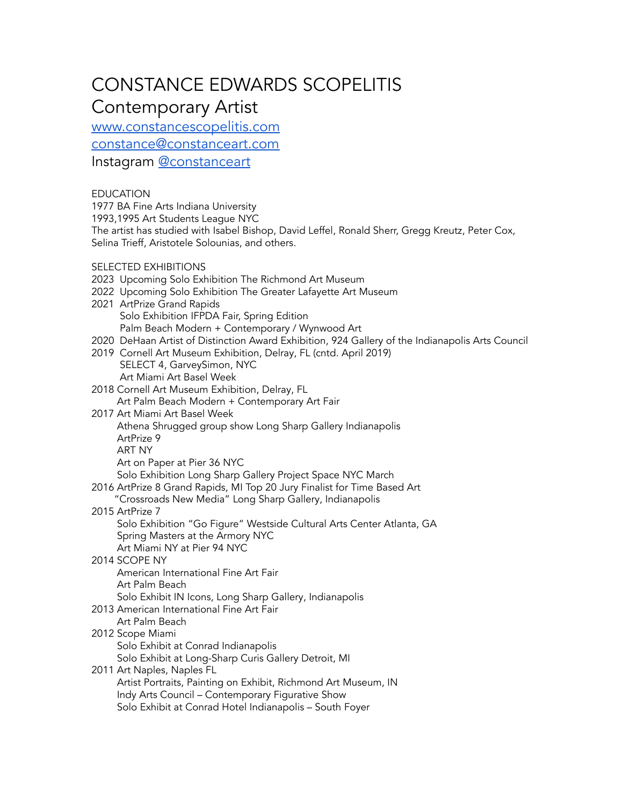# CONSTANCE EDWARDS SCOPELITIS Contemporary Artist

[www.constancescopelitis.com](http://www.constancescopelitis.com)

[constance@constanceart.com](mailto:constance@constanceart.com)

Instagram [@constanceart](http://@constanceart)

# EDUCATION

1977 BA Fine Arts Indiana University

1993,1995 Art Students League NYC

The artist has studied with Isabel Bishop, David Leffel, Ronald Sherr, Gregg Kreutz, Peter Cox, Selina Trieff, Aristotele Solounias, and others.

## SELECTED EXHIBITIONS

- 2023 Upcoming Solo Exhibition The Richmond Art Museum
- 2022 Upcoming Solo Exhibition The Greater Lafayette Art Museum
- 2021 ArtPrize Grand Rapids Solo Exhibition IFPDA Fair, Spring Edition Palm Beach Modern + Contemporary / Wynwood Art
- 2020 DeHaan Artist of Distinction Award Exhibition, 924 Gallery of the Indianapolis Arts Council
- 2019 Cornell Art Museum Exhibition, Delray, FL (cntd. April 2019) SELECT 4, GarveySimon, NYC Art Miami Art Basel Week
- 2018 Cornell Art Museum Exhibition, Delray, FL
	- Art Palm Beach Modern + Contemporary Art Fair
- 2017 Art Miami Art Basel Week
	- Athena Shrugged group show Long Sharp Gallery Indianapolis
	- ArtPrize 9
	- ART NY

Art on Paper at Pier 36 NYC

Solo Exhibition Long Sharp Gallery Project Space NYC March

- 2016 ArtPrize 8 Grand Rapids, MI Top 20 Jury Finalist for Time Based Art
- "Crossroads New Media" Long Sharp Gallery, Indianapolis

# 2015 ArtPrize 7

Solo Exhibition "Go Figure" Westside Cultural Arts Center Atlanta, GA Spring Masters at the Armory NYC Art Miami NY at Pier 94 NYC

# 2014 SCOPE NY

American International Fine Art Fair Art Palm Beach Solo Exhibit IN Icons, Long Sharp Gallery, Indianapolis

2013 American International Fine Art Fair

Art Palm Beach

#### 2012 Scope Miami Solo Exhibit at Conrad Indianapolis Solo Exhibit at Long-Sharp Curis Gallery Detroit, MI

2011 Art Naples, Naples FL Artist Portraits, Painting on Exhibit, Richmond Art Museum, IN Indy Arts Council – Contemporary Figurative Show Solo Exhibit at Conrad Hotel Indianapolis – South Foyer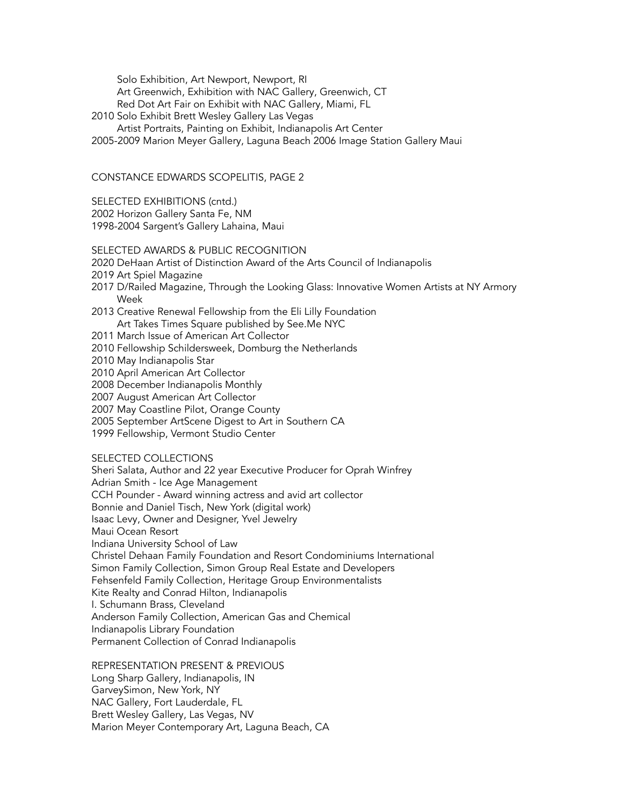Solo Exhibition, Art Newport, Newport, RI Art Greenwich, Exhibition with NAC Gallery, Greenwich, CT Red Dot Art Fair on Exhibit with NAC Gallery, Miami, FL

- 2010 Solo Exhibit Brett Wesley Gallery Las Vegas
- Artist Portraits, Painting on Exhibit, Indianapolis Art Center

2005-2009 Marion Meyer Gallery, Laguna Beach 2006 Image Station Gallery Maui

#### CONSTANCE EDWARDS SCOPELITIS, PAGE 2

SELECTED EXHIBITIONS (cntd.)

2002 Horizon Gallery Santa Fe, NM

1998-2004 Sargent's Gallery Lahaina, Maui

### SELECTED AWARDS & PUBLIC RECOGNITION

- 2020 DeHaan Artist of Distinction Award of the Arts Council of Indianapolis
- 2019 Art Spiel Magazine
- 2017 D/Railed Magazine, Through the Looking Glass: Innovative Women Artists at NY Armory Week
- 2013 Creative Renewal Fellowship from the Eli Lilly Foundation Art Takes Times Square published by See.Me NYC
- 2011 March Issue of American Art Collector
- 2010 Fellowship Schildersweek, Domburg the Netherlands
- 2010 May Indianapolis Star
- 2010 April American Art Collector
- 2008 December Indianapolis Monthly
- 2007 August American Art Collector
- 2007 May Coastline Pilot, Orange County
- 2005 September ArtScene Digest to Art in Southern CA
- 1999 Fellowship, Vermont Studio Center

## SELECTED COLLECTIONS

Sheri Salata, Author and 22 year Executive Producer for Oprah Winfrey Adrian Smith - Ice Age Management CCH Pounder - Award winning actress and avid art collector Bonnie and Daniel Tisch, New York (digital work) Isaac Levy, Owner and Designer, Yvel Jewelry Maui Ocean Resort Indiana University School of Law Christel Dehaan Family Foundation and Resort Condominiums International Simon Family Collection, Simon Group Real Estate and Developers Fehsenfeld Family Collection, Heritage Group Environmentalists Kite Realty and Conrad Hilton, Indianapolis I. Schumann Brass, Cleveland Anderson Family Collection, American Gas and Chemical Indianapolis Library Foundation Permanent Collection of Conrad Indianapolis

#### REPRESENTATION PRESENT & PREVIOUS

Long Sharp Gallery, Indianapolis, IN GarveySimon, New York, NY NAC Gallery, Fort Lauderdale, FL Brett Wesley Gallery, Las Vegas, NV Marion Meyer Contemporary Art, Laguna Beach, CA